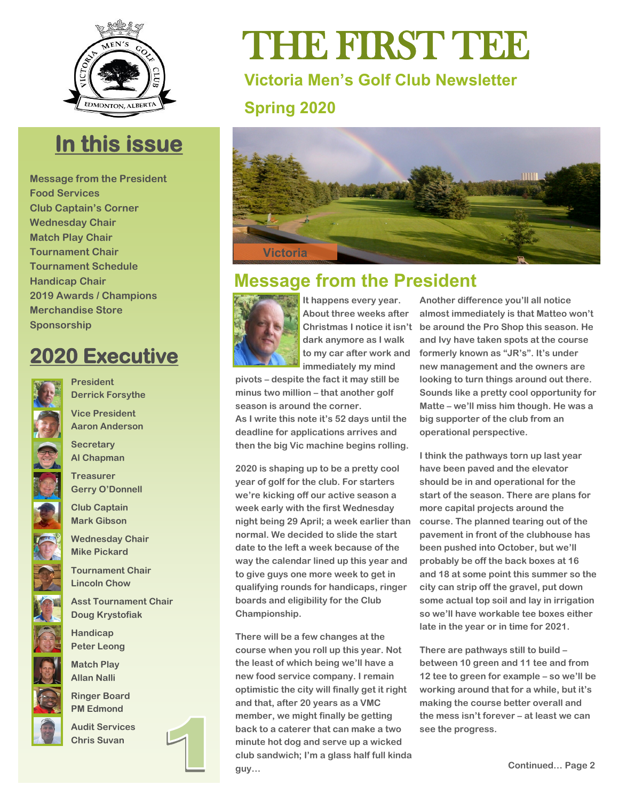

## **In this issue**

**Message from the President Food Services Club Captain's Corner Wednesday Chair Match Play Chair Tournament Chair Tournament Schedule Handicap Chair 2019 Awards / Champions Merchandise Store Sponsorship** 

## **2020 Executive**



**President Derrick Forsythe** 

**Vice President Aaron Anderson** 

**Secretary Al Chapman** 

**Treasurer Gerry O'Donnell** 

**Club Captain Mark Gibson** 

**Wednesday Chair Mike Pickard** 

**Tournament Chair Lincoln Chow** 

**Asst Tournament Chair Doug Krystofiak** 

**Handicap Peter Leong** 

**Match Play Allan Nalli** 

**Ringer Board PM Edmond** 

**Audit Services Chris Suvan**

# THE FIRST TEE

**Victoria Men's Golf Club Newsletter Spring 2020**



## **Message from the President**



**It happens every year. About three weeks after Christmas I notice it isn't dark anymore as I walk to my car after work and immediately my mind** 

**pivots – despite the fact it may still be minus two million – that another golf season is around the corner. As I write this note it's 52 days until the deadline for applications arrives and then the big Vic machine begins rolling.** 

**2020 is shaping up to be a pretty cool year of golf for the club. For starters we're kicking off our active season a week early with the first Wednesday night being 29 April; a week earlier than normal. We decided to slide the start date to the left a week because of the way the calendar lined up this year and to give guys one more week to get in qualifying rounds for handicaps, ringer boards and eligibility for the Club Championship.**

**There will be a few changes at the course when you roll up this year. Not the least of which being we'll have a new food service company. I remain optimistic the city will finally get it right and that, after 20 years as a VMC member, we might finally be getting back to a caterer that can make a two minute hot dog and serve up a wicked club sandwich; I'm a glass half full kinda guy…** 

**Another difference you'll all notice almost immediately is that Matteo won't be around the Pro Shop this season. He and Ivy have taken spots at the course formerly known as "JR's". It's under new management and the owners are looking to turn things around out there. Sounds like a pretty cool opportunity for Matte – we'll miss him though. He was a big supporter of the club from an operational perspective.**

**I think the pathways torn up last year have been paved and the elevator should be in and operational for the start of the season. There are plans for more capital projects around the course. The planned tearing out of the pavement in front of the clubhouse has been pushed into October, but we'll probably be off the back boxes at 16 and 18 at some point this summer so the city can strip off the gravel, put down some actual top soil and lay in irrigation so we'll have workable tee boxes either late in the year or in time for 2021.**

**There are pathways still to build – between 10 green and 11 tee and from 12 tee to green for example – so we'll be working around that for a while, but it's making the course better overall and the mess isn't forever – at least we can see the progress.**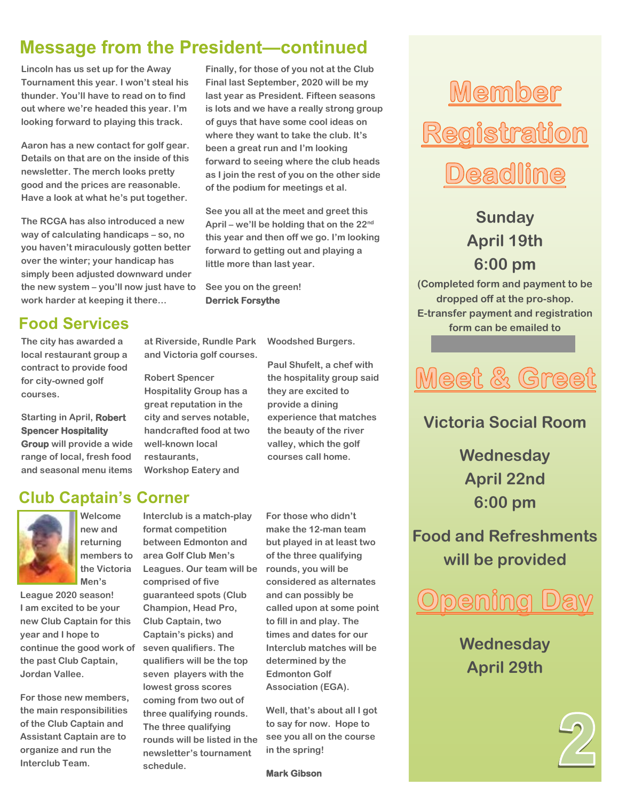## **Message from the President—continued**

**Lincoln has us set up for the Away Tournament this year. I won't steal his thunder. You'll have to read on to find out where we're headed this year. I'm looking forward to playing this track.**

**Aaron has a new contact for golf gear. Details on that are on the inside of this newsletter. The merch looks pretty good and the prices are reasonable. Have a look at what he's put together.**

**The RCGA has also introduced a new way of calculating handicaps – so, no you haven't miraculously gotten better over the winter; your handicap has simply been adjusted downward under the new system – you'll now just have to work harder at keeping it there…** 

## **Food Services**

**The city has awarded a local restaurant group a contract to provide food for city-owned golf courses.**

**Starting in April, Robert Spencer Hospitality** 

**Group will provide a wide range of local, fresh food and seasonal menu items** 

**Club Captain's Corner**



**Welcome new and returning members to the Victoria Men's** 

**League 2020 season! I am excited to be your new Club Captain for this year and I hope to continue the good work of the past Club Captain, Jordan Vallee.** 

 **the main responsibilities For those new members, of the Club Captain and Assistant Captain are to organize and run the Interclub Team.** 

**Interclub is a match-play format competition between Edmonton and area Golf Club Men's Leagues. Our team will be comprised of five guaranteed spots (Club Champion, Head Pro, Club Captain, two Captain's picks) and seven qualifiers. The qualifiers will be the top seven players with the lowest gross scores** 

**coming from two out of three qualifying rounds. The three qualifying rounds will be listed in the newsletter's tournament schedule.** 

**Finally, for those of you not at the Club Final last September, 2020 will be my last year as President. Fifteen seasons is lots and we have a really strong group of guys that have some cool ideas on where they want to take the club. It's been a great run and I'm looking forward to seeing where the club heads as I join the rest of you on the other side of the podium for meetings et al.**

**See you all at the meet and greet this April – we'll be holding that on the 22nd this year and then off we go. I'm looking forward to getting out and playing a little more than last year.**

**See you on the green! Derrick Forsythe**

**at Riverside, Rundle Park and Victoria golf courses.**

**Hospitality Group has a great reputation in the city and serves notable, handcrafted food at two** 

**Robert Spencer** 

**well-known local restaurants,** 

**Workshop Eatery and** 

**Woodshed Burgers.** 

**Paul Shufelt, a chef with the hospitality group said they are excited to provide a dining experience that matches the beauty of the river valley, which the golf courses call home.**

**For those who didn't make the 12-man team but played in at least two of the three qualifying rounds, you will be considered as alternates and can possibly be called upon at some point to fill in and play. The times and dates for our Interclub matches will be determined by the Edmonton Golf Association (EGA).**

**Well, that's about all I got to say for now. Hope to see you all on the course in the spring!**

**Mark Gibson** 

## Member Registration **Deadline**

**Sunday April 19th 6:00 pm** 

**(Completed form and payment to be dropped off at the pro-shop. E-transfer payment and registration form can be emailed to** 

## **Meet & Greet**

**[victoriagolf.mc@gmail.com\)](mailto:victoriagolf.mc@gmail.com)** 

**Victoria Social Room**

**Wednesday April 22nd 6:00 pm**

**Food and Refreshments will be provided**



**Wednesday April 29th**

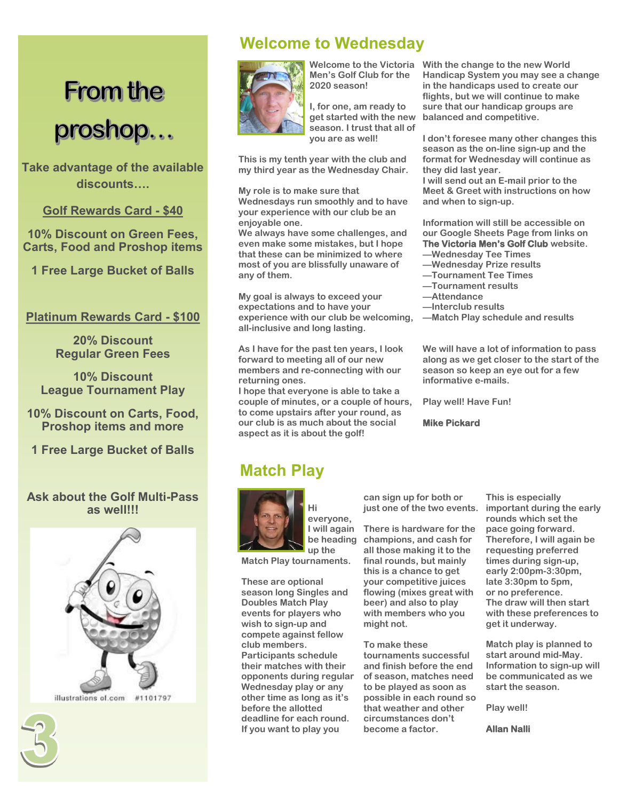## **From the** proshop...

**Take advantage of the available discounts….**

**Golf Rewards Card - \$40**

**10% Discount on Green Fees, Carts, Food and Proshop items**

**1 Free Large Bucket of Balls**

#### **Platinum Rewards Card - \$100**

**20% Discount Regular Green Fees**

**10% Discount League Tournament Play**

**10% Discount on Carts, Food, Proshop items and more**

**1 Free Large Bucket of Balls**

#### **Ask about the Golf Multi-Pass as well!!!**



### **Welcome to Wednesday**



 **Men's Golf Club for the 2020 season!** 

 **I, for one, am ready to get started with the new season. I trust that all of you are as well!** 

**This is my tenth year with the club and my third year as the Wednesday Chair.** 

**My role is to make sure that Wednesdays run smoothly and to have your experience with our club be an enjoyable one.** 

**We always have some challenges, and even make some mistakes, but I hope that these can be minimized to where most of you are blissfully unaware of any of them.**

**My goal is always to exceed your expectations and to have your experience with our club be welcoming, all-inclusive and long lasting.** 

**As I have for the past ten years, I look forward to meeting all of our new members and re-connecting with our returning ones.** 

**I hope that everyone is able to take a couple of minutes, or a couple of hours, to come upstairs after your round, as our club is as much about the social aspect as it is about the golf!** 

#### **Welcome to the Victoria With the change to the new World Handicap System you may see a change in the handicaps used to create our flights, but we will continue to make sure that our handicap groups are balanced and competitive.**

**I don't foresee many other changes this season as the on-line sign-up and the format for Wednesday will continue as they did last year.** 

**I will send out an E-mail prior to the Meet & Greet with instructions on how and when to sign-up.**

**Information will still be accessible on our Google Sheets Page from links on The Victoria Men's Golf Club website.** 

- **—Wednesday Tee Times —Wednesday Prize results**
- **—Tournament Tee Times**
- **—Tournament results**
- **—Attendance**
- **—Interclub results**
- **—Match Play schedule and results**

**We will have a lot of information to pass along as we get closer to the start of the season so keep an eye out for a few informative e-mails.** 

**Play well! Have Fun!**

**Mike Pickard** 

### **Match Play**



**Hi everyone, I will again be heading up the** 

**Match Play tournaments.** 

**These are optional season long Singles and Doubles Match Play events for players who wish to sign-up and compete against fellow club members. Participants schedule their matches with their opponents during regular Wednesday play or any other time as long as it's before the allotted deadline for each round. If you want to play you** 

**can sign up for both or just one of the two events.**

**There is hardware for the champions, and cash for all those making it to the final rounds, but mainly this is a chance to get your competitive juices flowing (mixes great with beer) and also to play with members who you might not.**

**To make these tournaments successful and finish before the end of season, matches need to be played as soon as possible in each round so that weather and other circumstances don't become a factor.** 

**This is especially important during the early rounds which set the pace going forward. Therefore, I will again be requesting preferred times during sign-up, early 2:00pm-3:30pm, late 3:30pm to 5pm, or no preference. The draw will then start with these preferences to get it underway.** 

**Match play is planned to start around mid-May. Information to sign-up will be communicated as we start the season.** 

**Play well!** 

**Allan Nalli**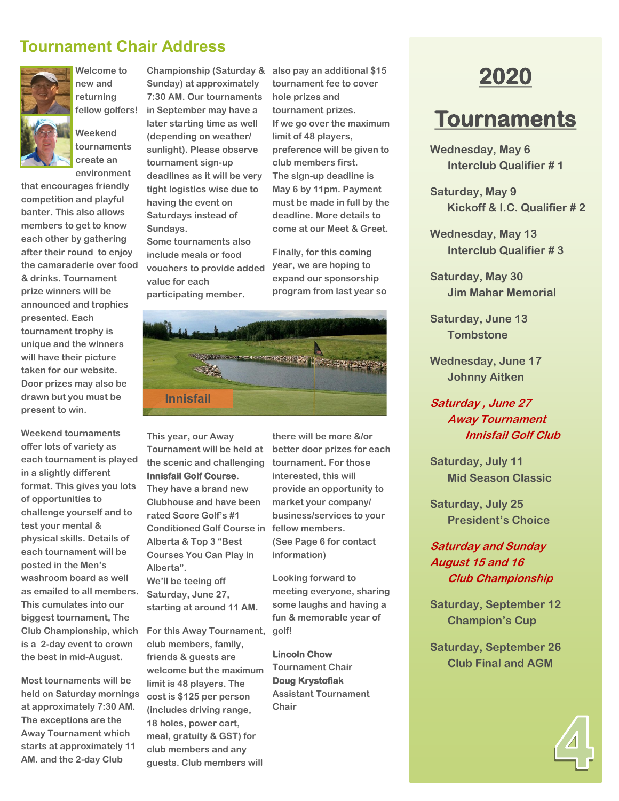## **Tournament Chair Address**



**Welcome to new and returning fellow golfers!** 

**Weekend tournaments create an environment** 

**that encourages friendly competition and playful banter. This also allows members to get to know each other by gathering after their round to enjoy the camaraderie over food & drinks. Tournament prize winners will be announced and trophies presented. Each tournament trophy is unique and the winners will have their picture taken for our website. Door prizes may also be drawn but you must be present to win.**

**Weekend tournaments offer lots of variety as each tournament is played in a slightly different format. This gives you lots of opportunities to challenge yourself and to test your mental & physical skills. Details of each tournament will be posted in the Men's washroom board as well as emailed to all members. This cumulates into our biggest tournament, The Club Championship, which is a 2-day event to crown the best in mid-August.**

**Most tournaments will be held on Saturday mornings at approximately 7:30 AM. The exceptions are the Away Tournament which starts at approximately 11 AM. and the 2-day Club** 

**Championship (Saturday & Sunday) at approximately 7:30 AM. Our tournaments in September may have a later starting time as well (depending on weather/ sunlight). Please observe tournament sign-up deadlines as it will be very tight logistics wise due to having the event on Saturdays instead of Sundays. Some tournaments also** 

> **include meals or food vouchers to provide added value for each participating member.**

**also pay an additional \$15 tournament fee to cover hole prizes and tournament prizes. If we go over the maximum limit of 48 players, preference will be given to club members first. The sign-up deadline is May 6 by 11pm. Payment must be made in full by the deadline. More details to come at our Meet & Greet.**

**Finally, for this coming year, we are hoping to expand our sponsorship program from last year so** 



**This year, our Away Tournament will be held at the scenic and challenging Innisfail Golf Course.** 

**They have a brand new Clubhouse and have been rated Score Golf's #1 Conditioned Golf Course in Alberta & Top 3 "Best Courses You Can Play in Alberta". We'll be teeing off Saturday, June 27,** 

**starting at around 11 AM.**

**For this Away Tournament, club members, family, friends & guests are welcome but the maximum limit is 48 players. The cost is \$125 per person (includes driving range, 18 holes, power cart, meal, gratuity & GST) for club members and any guests. Club members will** 

**there will be more &/or better door prizes for each tournament. For those interested, this will provide an opportunity to market your company/ business/services to your fellow members. (See Page 6 for contact information)**

**Looking forward to meeting everyone, sharing some laughs and having a fun & memorable year of golf!** 

**Lincoln Chow Tournament Chair Doug Krystofiak Assistant Tournament Chair**

## **2020**

## **Tournaments**

**Wednesday, May 6 Interclub Qualifier # 1**

**Saturday, May 9 Kickoff & I.C. Qualifier # 2**

**Wednesday, May 13 Interclub Qualifier # 3**

**Saturday, May 30 Jim Mahar Memorial**

**Saturday, June 13 Tombstone**

**Wednesday, June 17 Johnny Aitken**

#### **Saturday , June 27 Away Tournament Innisfail Golf Club**

**Saturday, July 11 Mid Season Classic**

**Saturday, July 25 President's Choice**

#### **Saturday and Sunday August 15 and 16 Club Championship**

**Saturday, September 12 Champion's Cup**

**Saturday, September 26 Club Final and AGM**

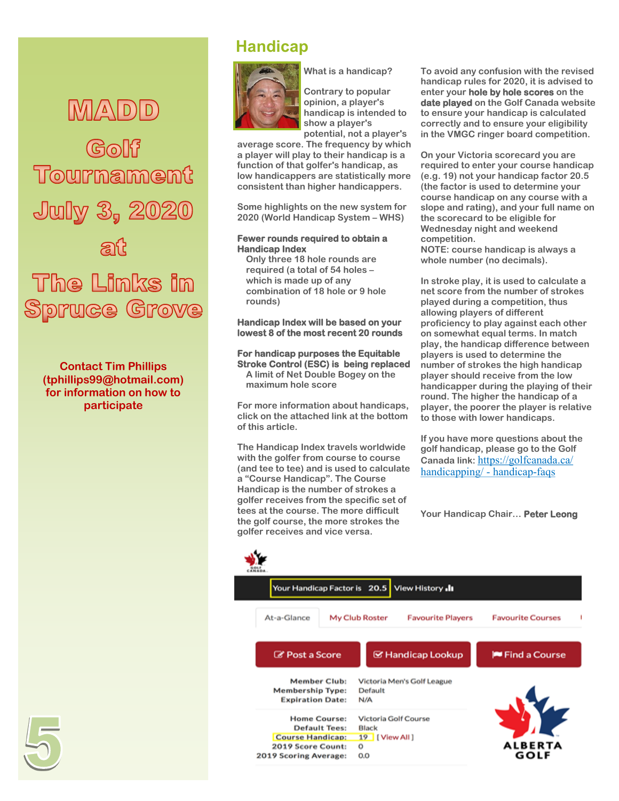## $M_A D D$

Tournament July 3, 2020 The Links in Spruce Grove

**Contact Tim Phillips (tphillips99@hotmail.com) for information on how to participate**

## **Handicap**



**Contrary to popular opinion, a player's handicap is intended to** 

**What is a handicap?**

**show a player's potential, not a player's** 

**average score. The frequency by which a player will play to their handicap is a function of that golfer's handicap, as low handicappers are statistically more consistent than higher handicappers.** 

**Some highlights on the new system for 2020 (World Handicap System – WHS)**

#### **Fewer rounds required to obtain a Handicap Index**

**Only three 18 hole rounds are required (a total of 54 holes – which is made up of any combination of 18 hole or 9 hole rounds)**

**Handicap Index will be based on your lowest 8 of the most recent 20 rounds** 

#### **For handicap purposes the Equitable Stroke Control (ESC) is being replaced**

**A limit of Net Double Bogey on the maximum hole score**

**For more information about handicaps, click on the attached link at the bottom of this article.**

**The Handicap Index travels worldwide with the golfer from course to course (and tee to tee) and is used to calculate a "Course Handicap". The Course Handicap is the number of strokes a golfer receives from the specific set of tees at the course. The more difficult the golf course, the more strokes the golfer receives and vice versa.**

**To avoid any confusion with the revised handicap rules for 2020, it is advised to enter your hole by hole scores on the date played on the Golf Canada website to ensure your handicap is calculated correctly and to ensure your eligibility in the VMGC ringer board competition.**

**On your Victoria scorecard you are required to enter your course handicap (e.g. 19) not your handicap factor 20.5 (the factor is used to determine your course handicap on any course with a slope and rating), and your full name on the scorecard to be eligible for Wednesday night and weekend competition.** 

**NOTE: course handicap is always a whole number (no decimals).**

**In stroke play, it is used to calculate a net score from the number of strokes played during a competition, thus allowing players of different proficiency to play against each other on somewhat equal terms. In match play, the handicap difference between players is used to determine the number of strokes the high handicap player should receive from the low handicapper during the playing of their round. The higher the handicap of a player, the poorer the player is relative to those with lower handicaps.**

**If you have more questions about the golf handicap, please go to the Golf Canada link:** [https://golfcanada.ca/](https://golfcanada.ca/handicapping/#handicap-faqs) [handicapping/](https://golfcanada.ca/handicapping/#handicap-faqs) - handicap-faqs

**Your Handicap Chair… Peter Leong**